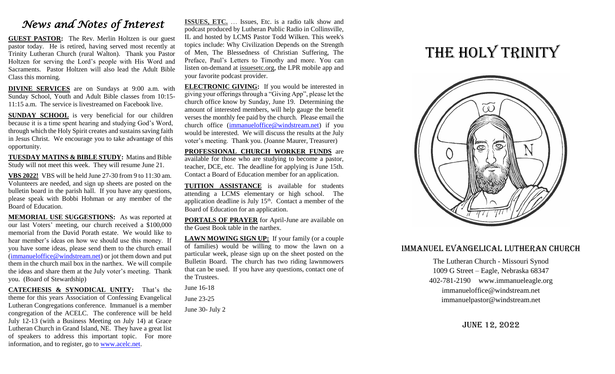## *News and Notes of Interest*

**GUEST PASTOR:** The Rev. Merlin Holtzen is our guest pastor today. He is retired, having served most recently at Trinity Lutheran Church (rural Walton). Thank you Pastor Holtzen for serving the Lord's people with His Word and Sacraments. Pastor Holtzen will also lead the Adult Bible Class this morning.

**DIVINE SERVICES** are on Sundays at 9:00 a.m. with Sunday School, Youth and Adult Bible classes from 10:15- 11:15 a.m. The service is livestreamed on Facebook live.

**SUNDAY SCHOOL** is very beneficial for our children because it is a time spent hearing and studying God's Word, through which the Holy Spirit creates and sustains saving faith in Jesus Christ. We encourage you to take advantage of this opportunity.

**TUESDAY MATINS & BIBLE STUDY:** Matins and Bible Study will not meet this week. They will resume June 21.

**VBS 2022!** VBS will be held June 27-30 from 9 to 11:30 am. Volunteers are needed, and sign up sheets are posted on the bulletin board in the parish hall. If you have any questions, please speak with Bobbi Hohman or any member of the Board of Education.

**MEMORIAL USE SUGGESTIONS:** As was reported at our last Voters' meeting, our church received a \$100,000 memorial from the David Porath estate. We would like to hear member's ideas on how we should use this money. If you have some ideas, please send them to the church email [\(immanueloffice@windstream.net\)](mailto:immanueloffice@windstream.net) or jot them down and put them in the church mail box in the narthex. We will compile the ideas and share them at the July voter's meeting. Thank you. (Board of Stewardship)

**CATECHESIS & SYNODICAL UNITY:** That's the theme for this years Association of Confessing Evangelical Lutheran Congregations conference. Immanuel is a member congregation of the ACELC. The conference will be held July 12-13 (with a Business Meeting on July 14) at Grace Lutheran Church in Grand Island, NE. They have a great list of speakers to address this important topic. For more information, and to register, go to [www.acelc.net.](http://www.acelc.net/)

**ISSUES, ETC.** … Issues, Etc. is a radio talk show and podcast produced by Lutheran Public Radio in Collinsville, IL and hosted by LCMS Pastor Todd Wilken. This week's topics include: Why Civilization Depends on the Strength of Men, The Blessedness of Christian Suffering, The Preface, Paul's Letters to Timothy and more. You can listen on-demand at [issuesetc.org,](http://r20.rs6.net/tn.jsp?f=001XltHUglAGihDwKg2LCVDVVAySCwUycj-pcDpmmbN6wc1op0BVtNrpeqRkDfWfRAR5HynrRwLD83UqUIEJFPoiyUbb9oq-5NovlALbsX07AGF4oYdP5zeLv9V3GeLojzC1uT1hueIv5zkEmdvlnbsrg==&c=EiyJYE_hckiSK1t9SJM8ARW6CIGIMPcJnNCoGIwRdJwORtvjHVDj6w==&ch=VWkUhocZc5I58mtUGYB_xdpIOWFrqcpl3qqqaxS1LlOA7ypD-yH3kg==) the LPR mobile app and your favorite podcast provider.

**ELECTRONIC GIVING:** If you would be interested in giving your offerings through a "Giving App", please let the church office know by Sunday, June 19. Determining the amount of interested members, will help gauge the benefit verses the monthly fee paid by the church. Please email the church office [\(immanueloffice@windstream.net\)](mailto:immanueloffice@windstream.net) if you would be interested. We will discuss the results at the July voter's meeting. Thank you. (Joanne Maurer, Treasurer)

**PROFESSIONAL CHURCH WORKER FUNDS** are available for those who are studying to become a pastor, teacher, DCE, etc. The deadline for applying is June 15th. Contact a Board of Education member for an application.

**TUITION ASSISTANCE** is available for students attending a LCMS elementary or high school. The application deadline is July  $15<sup>th</sup>$ . Contact a member of the Board of Education for an application.

**PORTALS OF PRAYER** for April-June are available on the Guest Book table in the narthex.

**LAWN MOWING SIGN UP:** If your family (or a couple of families) would be willing to mow the lawn on a particular week, please sign up on the sheet posted on the Bulletin Board. The church has two riding lawnmowers that can be used. If you have any questions, contact one of the Trustees.

June 16-18

June 23-25

June 30- July 2

# THE HOLY TRINITY



#### Immanuel Evangelical Lutheran Church

The Lutheran Church - Missouri Synod 1009 G Street – Eagle, Nebraska 68347 402-781-2190 www.immanueleagle.org [immanueloffice@windstream.net](mailto:immanueloffice@windstream.net) [immanuelpastor@windstream.net](mailto:immanuelpastor@windstream.net)

June 12, 2022